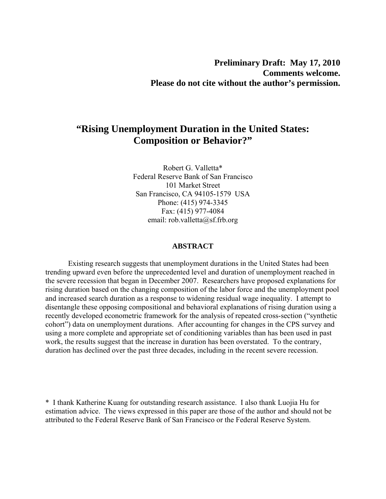# **Preliminary Draft: May 17, 2010 Comments welcome. Please do not cite without the author's permission.**

# **"Rising Unemployment Duration in the United States: Composition or Behavior?"**

Robert G. Valletta\* Federal Reserve Bank of San Francisco 101 Market Street San Francisco, CA 94105-1579 USA Phone: (415) 974-3345 Fax: (415) 977-4084 email: rob.valletta@sf.frb.org

#### **ABSTRACT**

 Existing research suggests that unemployment durations in the United States had been trending upward even before the unprecedented level and duration of unemployment reached in the severe recession that began in December 2007. Researchers have proposed explanations for rising duration based on the changing composition of the labor force and the unemployment pool and increased search duration as a response to widening residual wage inequality. I attempt to disentangle these opposing compositional and behavioral explanations of rising duration using a recently developed econometric framework for the analysis of repeated cross-section ("synthetic cohort") data on unemployment durations. After accounting for changes in the CPS survey and using a more complete and appropriate set of conditioning variables than has been used in past work, the results suggest that the increase in duration has been overstated. To the contrary, duration has declined over the past three decades, including in the recent severe recession.

\* I thank Katherine Kuang for outstanding research assistance. I also thank Luojia Hu for estimation advice. The views expressed in this paper are those of the author and should not be attributed to the Federal Reserve Bank of San Francisco or the Federal Reserve System.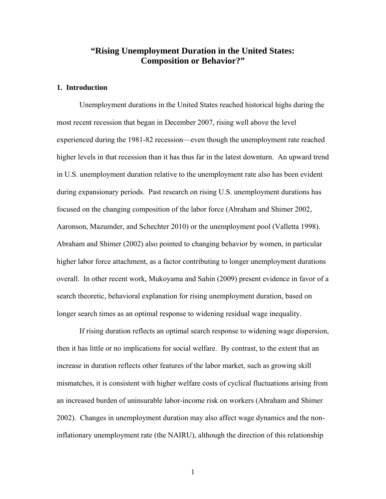# **"Rising Unemployment Duration in the United States: Composition or Behavior?"**

# **1. Introduction**

Unemployment durations in the United States reached historical highs during the most recent recession that began in December 2007, rising well above the level experienced during the 1981-82 recession—even though the unemployment rate reached higher levels in that recession than it has thus far in the latest downturn. An upward trend in U.S. unemployment duration relative to the unemployment rate also has been evident during expansionary periods. Past research on rising U.S. unemployment durations has focused on the changing composition of the labor force (Abraham and Shimer 2002, Aaronson, Mazumder, and Schechter 2010) or the unemployment pool (Valletta 1998). Abraham and Shimer (2002) also pointed to changing behavior by women, in particular higher labor force attachment, as a factor contributing to longer unemployment durations overall. In other recent work, Mukoyama and Sahin (2009) present evidence in favor of a search theoretic, behavioral explanation for rising unemployment duration, based on longer search times as an optimal response to widening residual wage inequality.

If rising duration reflects an optimal search response to widening wage dispersion, then it has little or no implications for social welfare. By contrast, to the extent that an increase in duration reflects other features of the labor market, such as growing skill mismatches, it is consistent with higher welfare costs of cyclical fluctuations arising from an increased burden of uninsurable labor-income risk on workers (Abraham and Shimer 2002). Changes in unemployment duration may also affect wage dynamics and the noninflationary unemployment rate (the NAIRU), although the direction of this relationship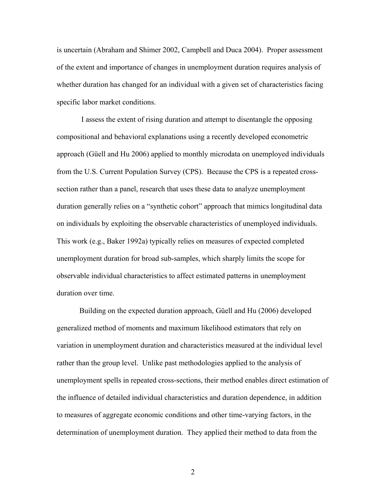is uncertain (Abraham and Shimer 2002, Campbell and Duca 2004). Proper assessment of the extent and importance of changes in unemployment duration requires analysis of whether duration has changed for an individual with a given set of characteristics facing specific labor market conditions.

 I assess the extent of rising duration and attempt to disentangle the opposing compositional and behavioral explanations using a recently developed econometric approach (Güell and Hu 2006) applied to monthly microdata on unemployed individuals from the U.S. Current Population Survey (CPS). Because the CPS is a repeated crosssection rather than a panel, research that uses these data to analyze unemployment duration generally relies on a "synthetic cohort" approach that mimics longitudinal data on individuals by exploiting the observable characteristics of unemployed individuals. This work (e.g., Baker 1992a) typically relies on measures of expected completed unemployment duration for broad sub-samples, which sharply limits the scope for observable individual characteristics to affect estimated patterns in unemployment duration over time.

Building on the expected duration approach, Güell and Hu (2006) developed generalized method of moments and maximum likelihood estimators that rely on variation in unemployment duration and characteristics measured at the individual level rather than the group level. Unlike past methodologies applied to the analysis of unemployment spells in repeated cross-sections, their method enables direct estimation of the influence of detailed individual characteristics and duration dependence, in addition to measures of aggregate economic conditions and other time-varying factors, in the determination of unemployment duration. They applied their method to data from the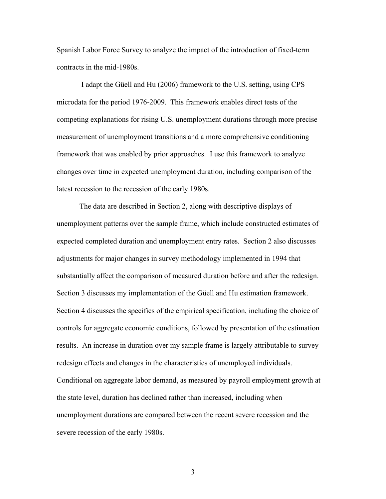Spanish Labor Force Survey to analyze the impact of the introduction of fixed-term contracts in the mid-1980s.

 I adapt the Güell and Hu (2006) framework to the U.S. setting, using CPS microdata for the period 1976-2009. This framework enables direct tests of the competing explanations for rising U.S. unemployment durations through more precise measurement of unemployment transitions and a more comprehensive conditioning framework that was enabled by prior approaches. I use this framework to analyze changes over time in expected unemployment duration, including comparison of the latest recession to the recession of the early 1980s.

The data are described in Section 2, along with descriptive displays of unemployment patterns over the sample frame, which include constructed estimates of expected completed duration and unemployment entry rates. Section 2 also discusses adjustments for major changes in survey methodology implemented in 1994 that substantially affect the comparison of measured duration before and after the redesign. Section 3 discusses my implementation of the Güell and Hu estimation framework. Section 4 discusses the specifics of the empirical specification, including the choice of controls for aggregate economic conditions, followed by presentation of the estimation results. An increase in duration over my sample frame is largely attributable to survey redesign effects and changes in the characteristics of unemployed individuals. Conditional on aggregate labor demand, as measured by payroll employment growth at the state level, duration has declined rather than increased, including when unemployment durations are compared between the recent severe recession and the severe recession of the early 1980s.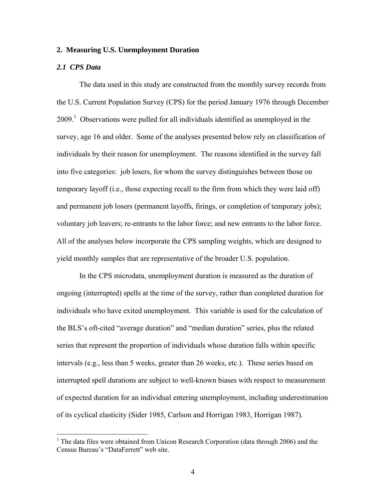### **2. Measuring U.S. Unemployment Duration**

#### *2.1 CPS Data*

 $\overline{a}$ 

The data used in this study are constructed from the monthly survey records from the U.S. Current Population Survey (CPS) for the period January 1976 through December 2009.<sup>1</sup> Observations were pulled for all individuals identified as unemployed in the survey, age 16 and older. Some of the analyses presented below rely on classification of individuals by their reason for unemployment. The reasons identified in the survey fall into five categories: job losers, for whom the survey distinguishes between those on temporary layoff (i.e., those expecting recall to the firm from which they were laid off) and permanent job losers (permanent layoffs, firings, or completion of temporary jobs); voluntary job leavers; re-entrants to the labor force; and new entrants to the labor force. All of the analyses below incorporate the CPS sampling weights, which are designed to yield monthly samples that are representative of the broader U.S. population.

In the CPS microdata, unemployment duration is measured as the duration of ongoing (interrupted) spells at the time of the survey, rather than completed duration for individuals who have exited unemployment. This variable is used for the calculation of the BLS's oft-cited "average duration" and "median duration" series, plus the related series that represent the proportion of individuals whose duration falls within specific intervals (e.g., less than 5 weeks, greater than 26 weeks, etc.). These series based on interrupted spell durations are subject to well-known biases with respect to measurement of expected duration for an individual entering unemployment, including underestimation of its cyclical elasticity (Sider 1985, Carlson and Horrigan 1983, Horrigan 1987).

<sup>&</sup>lt;sup>1</sup> The data files were obtained from Unicon Research Corporation (data through 2006) and the Census Bureau's "DataFerrett" web site.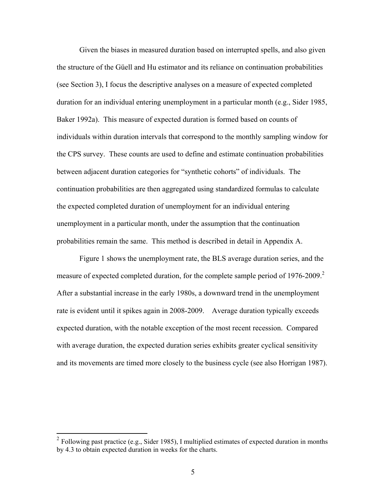Given the biases in measured duration based on interrupted spells, and also given the structure of the Güell and Hu estimator and its reliance on continuation probabilities (see Section 3), I focus the descriptive analyses on a measure of expected completed duration for an individual entering unemployment in a particular month (e.g., Sider 1985, Baker 1992a). This measure of expected duration is formed based on counts of individuals within duration intervals that correspond to the monthly sampling window for the CPS survey. These counts are used to define and estimate continuation probabilities between adjacent duration categories for "synthetic cohorts" of individuals. The continuation probabilities are then aggregated using standardized formulas to calculate the expected completed duration of unemployment for an individual entering unemployment in a particular month, under the assumption that the continuation probabilities remain the same. This method is described in detail in Appendix A.

 Figure 1 shows the unemployment rate, the BLS average duration series, and the measure of expected completed duration, for the complete sample period of 1976-2009.<sup>2</sup> After a substantial increase in the early 1980s, a downward trend in the unemployment rate is evident until it spikes again in 2008-2009. Average duration typically exceeds expected duration, with the notable exception of the most recent recession. Compared with average duration, the expected duration series exhibits greater cyclical sensitivity and its movements are timed more closely to the business cycle (see also Horrigan 1987).

 $2^2$  Following past practice (e.g., Sider 1985), I multiplied estimates of expected duration in months by 4.3 to obtain expected duration in weeks for the charts.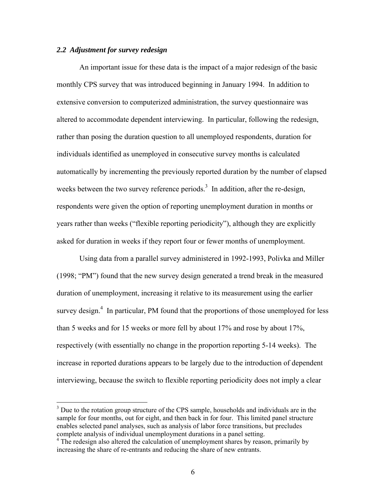### *2.2 Adjustment for survey redesign*

 $\overline{a}$ 

 An important issue for these data is the impact of a major redesign of the basic monthly CPS survey that was introduced beginning in January 1994. In addition to extensive conversion to computerized administration, the survey questionnaire was altered to accommodate dependent interviewing. In particular, following the redesign, rather than posing the duration question to all unemployed respondents, duration for individuals identified as unemployed in consecutive survey months is calculated automatically by incrementing the previously reported duration by the number of elapsed weeks between the two survey reference periods.<sup>3</sup> In addition, after the re-design, respondents were given the option of reporting unemployment duration in months or years rather than weeks ("flexible reporting periodicity"), although they are explicitly asked for duration in weeks if they report four or fewer months of unemployment.

Using data from a parallel survey administered in 1992-1993, Polivka and Miller (1998; "PM") found that the new survey design generated a trend break in the measured duration of unemployment, increasing it relative to its measurement using the earlier survey design.<sup>4</sup> In particular, PM found that the proportions of those unemployed for less than 5 weeks and for 15 weeks or more fell by about 17% and rose by about 17%, respectively (with essentially no change in the proportion reporting 5-14 weeks). The increase in reported durations appears to be largely due to the introduction of dependent interviewing, because the switch to flexible reporting periodicity does not imply a clear

 $3$  Due to the rotation group structure of the CPS sample, households and individuals are in the sample for four months, out for eight, and then back in for four. This limited panel structure enables selected panel analyses, such as analysis of labor force transitions, but precludes complete analysis of individual unemployment durations in a panel setting.

<sup>&</sup>lt;sup>4</sup> The redesign also altered the calculation of unemployment shares by reason, primarily by increasing the share of re-entrants and reducing the share of new entrants.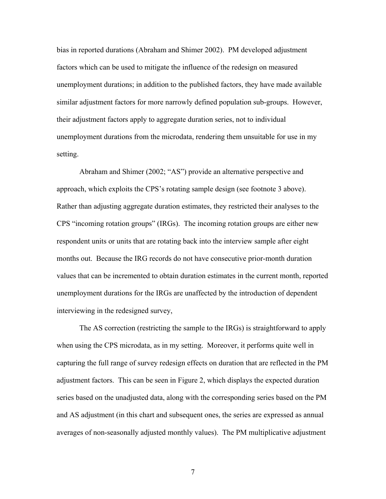bias in reported durations (Abraham and Shimer 2002). PM developed adjustment factors which can be used to mitigate the influence of the redesign on measured unemployment durations; in addition to the published factors, they have made available similar adjustment factors for more narrowly defined population sub-groups. However, their adjustment factors apply to aggregate duration series, not to individual unemployment durations from the microdata, rendering them unsuitable for use in my setting.

Abraham and Shimer (2002; "AS") provide an alternative perspective and approach, which exploits the CPS's rotating sample design (see footnote 3 above). Rather than adjusting aggregate duration estimates, they restricted their analyses to the CPS "incoming rotation groups" (IRGs). The incoming rotation groups are either new respondent units or units that are rotating back into the interview sample after eight months out. Because the IRG records do not have consecutive prior-month duration values that can be incremented to obtain duration estimates in the current month, reported unemployment durations for the IRGs are unaffected by the introduction of dependent interviewing in the redesigned survey,

The AS correction (restricting the sample to the IRGs) is straightforward to apply when using the CPS microdata, as in my setting. Moreover, it performs quite well in capturing the full range of survey redesign effects on duration that are reflected in the PM adjustment factors. This can be seen in Figure 2, which displays the expected duration series based on the unadjusted data, along with the corresponding series based on the PM and AS adjustment (in this chart and subsequent ones, the series are expressed as annual averages of non-seasonally adjusted monthly values). The PM multiplicative adjustment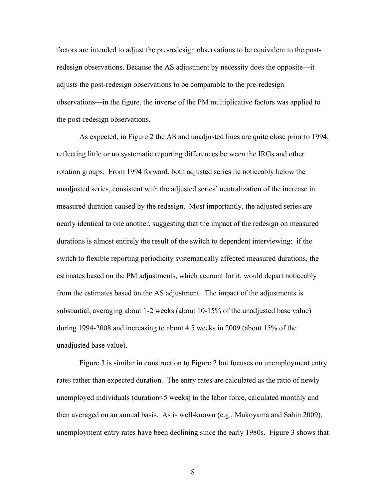factors are intended to adjust the pre-redesign observations to be equivalent to the postredesign observations. Because the AS adjustment by necessity does the opposite—it adjusts the post-redesign observations to be comparable to the pre-redesign observations—in the figure, the inverse of the PM multiplicative factors was applied to the post-redesign observations.

As expected, in Figure 2 the AS and unadjusted lines are quite close prior to 1994, reflecting little or no systematic reporting differences between the IRGs and other rotation groups. From 1994 forward, both adjusted series lie noticeably below the unadjusted series, consistent with the adjusted series' neutralization of the increase in measured duration caused by the redesign. Most importantly, the adjusted series are nearly identical to one another, suggesting that the impact of the redesign on measured durations is almost entirely the result of the switch to dependent interviewing: if the switch to flexible reporting periodicity systematically affected measured durations, the estimates based on the PM adjustments, which account for it, would depart noticeably from the estimates based on the AS adjustment. The impact of the adjustments is substantial, averaging about 1-2 weeks (about 10-15% of the unadjusted base value) during 1994-2008 and increasing to about 4.5 weeks in 2009 (about 15% of the unadjusted base value).

Figure 3 is similar in construction to Figure 2 but focuses on unemployment entry rates rather than expected duration. The entry rates are calculated as the ratio of newly unemployed individuals (duration<5 weeks) to the labor force, calculated monthly and then averaged on an annual basis. As is well-known (e.g., Mukoyama and Sahin 2009), unemployment entry rates have been declining since the early 1980s. Figure 3 shows that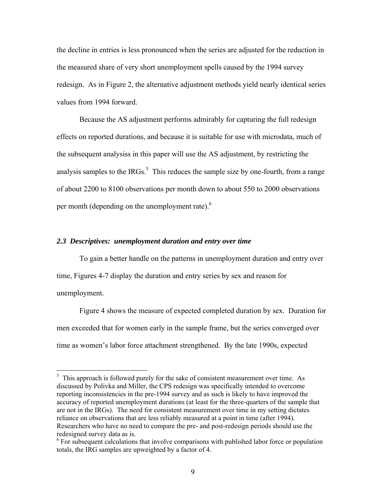the decline in entries is less pronounced when the series are adjusted for the reduction in the measured share of very short unemployment spells caused by the 1994 survey redesign. As in Figure 2, the alternative adjustment methods yield nearly identical series values from 1994 forward.

Because the AS adjustment performs admirably for capturing the full redesign effects on reported durations, and because it is suitable for use with microdata, much of the subsequent analysiss in this paper will use the AS adjustment, by restricting the analysis samples to the IRGs.<sup>5</sup> This reduces the sample size by one-fourth, from a range of about 2200 to 8100 observations per month down to about 550 to 2000 observations per month (depending on the unemployment rate).<sup>6</sup>

### *2.3 Descriptives: unemployment duration and entry over time*

 $\overline{a}$ 

 To gain a better handle on the patterns in unemployment duration and entry over time, Figures 4-7 display the duration and entry series by sex and reason for unemployment.

Figure 4 shows the measure of expected completed duration by sex. Duration for men exceeded that for women early in the sample frame, but the series converged over time as women's labor force attachment strengthened. By the late 1990s, expected

 $<sup>5</sup>$  This approach is followed purely for the sake of consistent measurement over time. As</sup> discussed by Polivka and Miller, the CPS redesign was specifically intended to overcome reporting inconsistencies in the pre-1994 survey and as such is likely to have improved the accuracy of reported unemployment durations (at least for the three-quarters of the sample that are not in the IRGs). The need for consistent measurement over time in my setting dictates reliance on observations that are less reliably measured at a point in time (after 1994). Researchers who have no need to compare the pre- and post-redesign periods should use the redesigned survey data as is.

 $6$  For subsequent calculations that involve comparisons with published labor force or population totals, the IRG samples are upweighted by a factor of 4.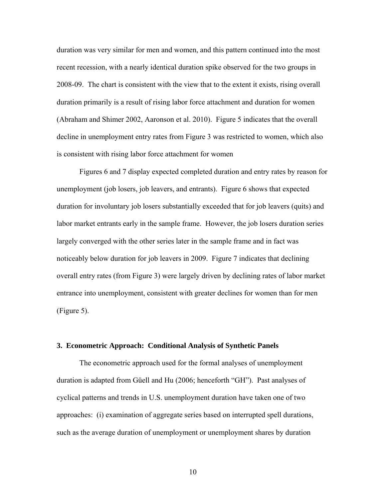duration was very similar for men and women, and this pattern continued into the most recent recession, with a nearly identical duration spike observed for the two groups in 2008-09. The chart is consistent with the view that to the extent it exists, rising overall duration primarily is a result of rising labor force attachment and duration for women (Abraham and Shimer 2002, Aaronson et al. 2010). Figure 5 indicates that the overall decline in unemployment entry rates from Figure 3 was restricted to women, which also is consistent with rising labor force attachment for women

Figures 6 and 7 display expected completed duration and entry rates by reason for unemployment (job losers, job leavers, and entrants). Figure 6 shows that expected duration for involuntary job losers substantially exceeded that for job leavers (quits) and labor market entrants early in the sample frame. However, the job losers duration series largely converged with the other series later in the sample frame and in fact was noticeably below duration for job leavers in 2009. Figure 7 indicates that declining overall entry rates (from Figure 3) were largely driven by declining rates of labor market entrance into unemployment, consistent with greater declines for women than for men (Figure 5).

#### **3. Econometric Approach: Conditional Analysis of Synthetic Panels**

 The econometric approach used for the formal analyses of unemployment duration is adapted from Güell and Hu (2006; henceforth "GH"). Past analyses of cyclical patterns and trends in U.S. unemployment duration have taken one of two approaches: (i) examination of aggregate series based on interrupted spell durations, such as the average duration of unemployment or unemployment shares by duration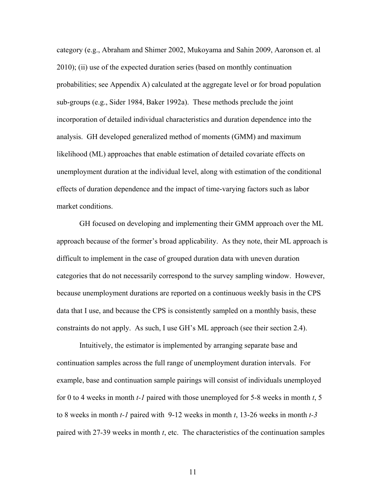category (e.g., Abraham and Shimer 2002, Mukoyama and Sahin 2009, Aaronson et. al 2010); (ii) use of the expected duration series (based on monthly continuation probabilities; see Appendix A) calculated at the aggregate level or for broad population sub-groups (e.g., Sider 1984, Baker 1992a). These methods preclude the joint incorporation of detailed individual characteristics and duration dependence into the analysis. GH developed generalized method of moments (GMM) and maximum likelihood (ML) approaches that enable estimation of detailed covariate effects on unemployment duration at the individual level, along with estimation of the conditional effects of duration dependence and the impact of time-varying factors such as labor market conditions.

 GH focused on developing and implementing their GMM approach over the ML approach because of the former's broad applicability. As they note, their ML approach is difficult to implement in the case of grouped duration data with uneven duration categories that do not necessarily correspond to the survey sampling window. However, because unemployment durations are reported on a continuous weekly basis in the CPS data that I use, and because the CPS is consistently sampled on a monthly basis, these constraints do not apply. As such, I use GH's ML approach (see their section 2.4).

 Intuitively, the estimator is implemented by arranging separate base and continuation samples across the full range of unemployment duration intervals. For example, base and continuation sample pairings will consist of individuals unemployed for 0 to 4 weeks in month *t-1* paired with those unemployed for 5-8 weeks in month *t*, 5 to 8 weeks in month *t-1* paired with 9-12 weeks in month *t*, 13-26 weeks in month *t-3* paired with 27-39 weeks in month *t*, etc. The characteristics of the continuation samples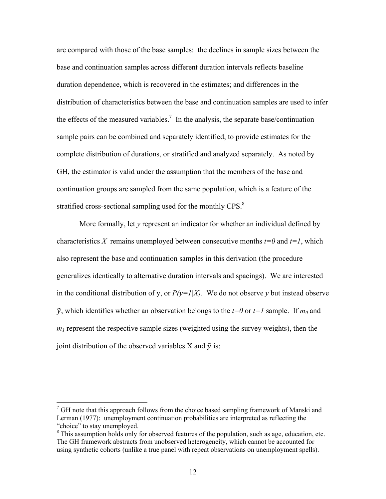are compared with those of the base samples: the declines in sample sizes between the base and continuation samples across different duration intervals reflects baseline duration dependence, which is recovered in the estimates; and differences in the distribution of characteristics between the base and continuation samples are used to infer the effects of the measured variables.<sup>7</sup> In the analysis, the separate base/continuation sample pairs can be combined and separately identified, to provide estimates for the complete distribution of durations, or stratified and analyzed separately. As noted by GH, the estimator is valid under the assumption that the members of the base and continuation groups are sampled from the same population, which is a feature of the stratified cross-sectional sampling used for the monthly CPS.<sup>8</sup>

More formally, let *y* represent an indicator for whether an individual defined by characteristics X remains unemployed between consecutive months  $t=0$  and  $t=1$ , which also represent the base and continuation samples in this derivation (the procedure generalizes identically to alternative duration intervals and spacings). We are interested in the conditional distribution of y, or  $P(y=1|X)$ . We do not observe *y* but instead observe  $\tilde{v}$ , which identifies whether an observation belongs to the  $t=0$  or  $t=1$  sample. If  $m_0$  and  $m_l$  represent the respective sample sizes (weighted using the survey weights), then the joint distribution of the observed variables X and  $\tilde{v}$  is:

 $7$  GH note that this approach follows from the choice based sampling framework of Manski and Lerman (1977): unemployment continuation probabilities are interpreted as reflecting the "choice" to stay unemployed.

 $8$  This assumption holds only for observed features of the population, such as age, education, etc. The GH framework abstracts from unobserved heterogeneity, which cannot be accounted for using synthetic cohorts (unlike a true panel with repeat observations on unemployment spells).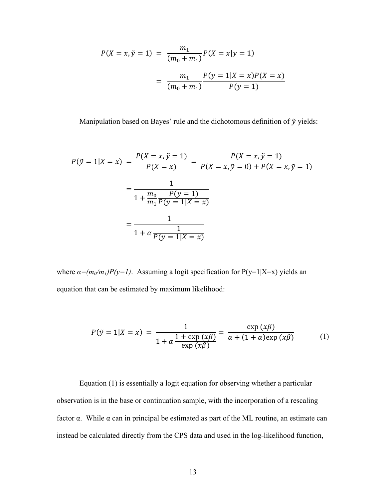$$
P(X = x, \tilde{y} = 1) = \frac{m_1}{(m_0 + m_1)} P(X = x | y = 1)
$$

$$
= \frac{m_1}{(m_0 + m_1)} \frac{P(y = 1 | X = x)P(X = x)}{P(y = 1)}
$$

Manipulation based on Bayes' rule and the dichotomous definition of  $\tilde{y}$  yields:

$$
P(\tilde{y} = 1 | X = x) = \frac{P(X = x, \tilde{y} = 1)}{P(X = x)} = \frac{P(X = x, \tilde{y} = 1)}{P(X = x, \tilde{y} = 0) + P(X = x, \tilde{y} = 1)}
$$

$$
= \frac{1}{1 + \frac{m_0}{m_1} \frac{P(y = 1)}{P(y = 1 | X = x)}}
$$

$$
= \frac{1}{1 + \alpha \frac{1}{P(y = 1 | X = x)}}
$$

where  $\alpha = (m_0/m_1)P(y=1)$ . Assuming a logit specification for P(y=1|X=x) yields an equation that can be estimated by maximum likelihood:

$$
P(\tilde{y} = 1 | X = x) = \frac{1}{1 + \alpha \frac{1 + \exp(x\beta)}{\exp(x\beta)}} = \frac{\exp(x\beta)}{\alpha + (1 + \alpha)\exp(x\beta)}
$$
(1)

Equation (1) is essentially a logit equation for observing whether a particular observation is in the base or continuation sample, with the incorporation of a rescaling factor α. While α can in principal be estimated as part of the ML routine, an estimate can instead be calculated directly from the CPS data and used in the log-likelihood function,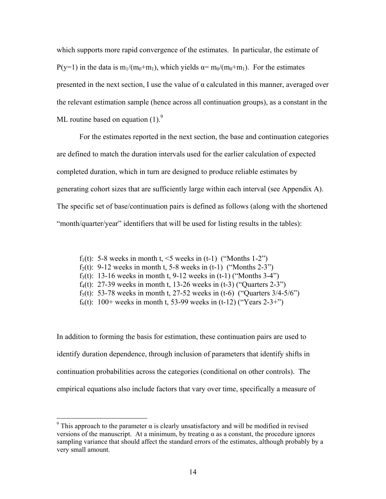which supports more rapid convergence of the estimates. In particular, the estimate of P(y=1) in the data is m<sub>1</sub>/(m<sub>0</sub>+m<sub>1</sub>), which yields  $\alpha = m_0/(m_0+m_1)$ . For the estimates presented in the next section, I use the value of  $\alpha$  calculated in this manner, averaged over the relevant estimation sample (hence across all continuation groups), as a constant in the ML routine based on equation  $(1)$ .<sup>9</sup>

For the estimates reported in the next section, the base and continuation categories are defined to match the duration intervals used for the earlier calculation of expected completed duration, which in turn are designed to produce reliable estimates by generating cohort sizes that are sufficiently large within each interval (see Appendix A). The specific set of base/continuation pairs is defined as follows (along with the shortened "month/quarter/year" identifiers that will be used for listing results in the tables):

- f<sub>1</sub>(t): 5-8 weeks in month t,  $\leq$  weeks in (t-1) ("Months 1-2")
- f<sub>2</sub>(t): 9-12 weeks in month t, 5-8 weeks in  $(t-1)$  ("Months 2-3")
- f<sub>3</sub>(t): 13-16 weeks in month t, 9-12 weeks in  $(t-1)$  ("Months 3-4")
- f<sub>4</sub>(t): 27-39 weeks in month t, 13-26 weeks in  $(t-3)$  ("Ouarters 2-3")
- f<sub>5</sub>(t): 53-78 weeks in month t, 27-52 weeks in (t-6) ("Quarters  $3/4-5/6$ ")
- f<sub>6</sub>(t): 100+ weeks in month t, 53-99 weeks in (t-12) ("Years 2-3+")

In addition to forming the basis for estimation, these continuation pairs are used to identify duration dependence, through inclusion of parameters that identify shifts in continuation probabilities across the categories (conditional on other controls). The empirical equations also include factors that vary over time, specifically a measure of

<u>.</u>

<sup>&</sup>lt;sup>9</sup> This approach to the parameter  $\alpha$  is clearly unsatisfactory and will be modified in revised versions of the manuscript. At a minimum, by treating α as a constant, the procedure ignores sampling variance that should affect the standard errors of the estimates, although probably by a very small amount.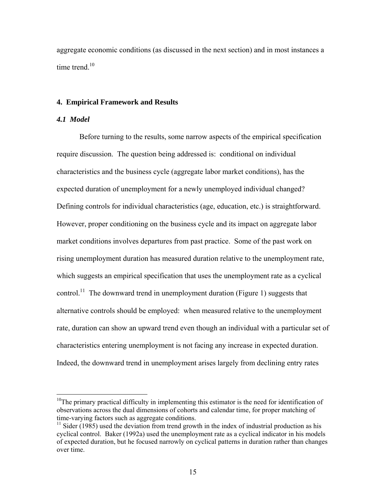aggregate economic conditions (as discussed in the next section) and in most instances a time trend.<sup>10</sup>

#### **4. Empirical Framework and Results**

#### *4.1 Model*

1

Before turning to the results, some narrow aspects of the empirical specification require discussion. The question being addressed is: conditional on individual characteristics and the business cycle (aggregate labor market conditions), has the expected duration of unemployment for a newly unemployed individual changed? Defining controls for individual characteristics (age, education, etc.) is straightforward. However, proper conditioning on the business cycle and its impact on aggregate labor market conditions involves departures from past practice. Some of the past work on rising unemployment duration has measured duration relative to the unemployment rate, which suggests an empirical specification that uses the unemployment rate as a cyclical control.<sup>11</sup> The downward trend in unemployment duration (Figure 1) suggests that alternative controls should be employed: when measured relative to the unemployment rate, duration can show an upward trend even though an individual with a particular set of characteristics entering unemployment is not facing any increase in expected duration. Indeed, the downward trend in unemployment arises largely from declining entry rates

 $10$ The primary practical difficulty in implementing this estimator is the need for identification of observations across the dual dimensions of cohorts and calendar time, for proper matching of time-varying factors such as aggregate conditions.

 $11$  Sider (1985) used the deviation from trend growth in the index of industrial production as his cyclical control. Baker (1992a) used the unemployment rate as a cyclical indicator in his models of expected duration, but he focused narrowly on cyclical patterns in duration rather than changes over time.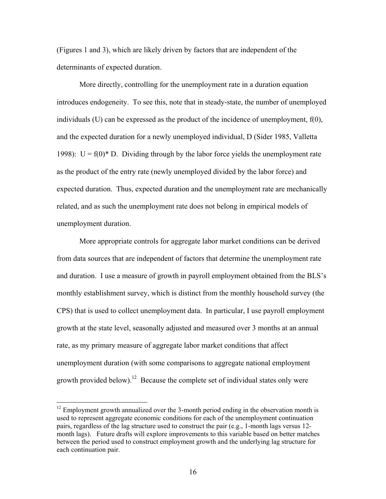(Figures 1 and 3), which are likely driven by factors that are independent of the determinants of expected duration.

More directly, controlling for the unemployment rate in a duration equation introduces endogeneity. To see this, note that in steady-state, the number of unemployed individuals  $(U)$  can be expressed as the product of the incidence of unemployment,  $f(0)$ , and the expected duration for a newly unemployed individual, D (Sider 1985, Valletta 1998):  $U = f(0)^* D$ . Dividing through by the labor force yields the unemployment rate as the product of the entry rate (newly unemployed divided by the labor force) and expected duration. Thus, expected duration and the unemployment rate are mechanically related, and as such the unemployment rate does not belong in empirical models of unemployment duration.

More appropriate controls for aggregate labor market conditions can be derived from data sources that are independent of factors that determine the unemployment rate and duration. I use a measure of growth in payroll employment obtained from the BLS's monthly establishment survey, which is distinct from the monthly household survey (the CPS) that is used to collect unemployment data. In particular, I use payroll employment growth at the state level, seasonally adjusted and measured over 3 months at an annual rate, as my primary measure of aggregate labor market conditions that affect unemployment duration (with some comparisons to aggregate national employment growth provided below).<sup>12</sup> Because the complete set of individual states only were

 $\overline{a}$ 

 $12$  Employment growth annualized over the 3-month period ending in the observation month is used to represent aggregate economic conditions for each of the unemployment continuation pairs, regardless of the lag structure used to construct the pair (e.g., 1-month lags versus 12 month lags). Future drafts will explore improvements to this variable based on better matches between the period used to construct employment growth and the underlying lag structure for each continuation pair.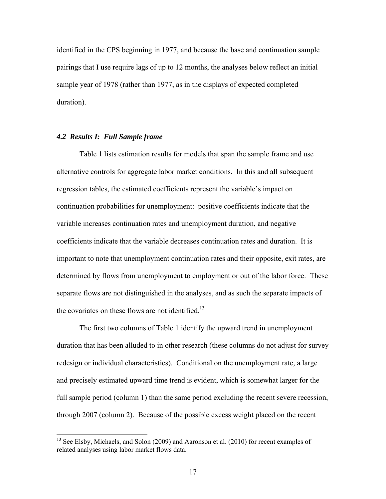identified in the CPS beginning in 1977, and because the base and continuation sample pairings that I use require lags of up to 12 months, the analyses below reflect an initial sample year of 1978 (rather than 1977, as in the displays of expected completed duration).

### *4.2 Results I: Full Sample frame*

 $\overline{a}$ 

 Table 1 lists estimation results for models that span the sample frame and use alternative controls for aggregate labor market conditions. In this and all subsequent regression tables, the estimated coefficients represent the variable's impact on continuation probabilities for unemployment: positive coefficients indicate that the variable increases continuation rates and unemployment duration, and negative coefficients indicate that the variable decreases continuation rates and duration. It is important to note that unemployment continuation rates and their opposite, exit rates, are determined by flows from unemployment to employment or out of the labor force. These separate flows are not distinguished in the analyses, and as such the separate impacts of the covariates on these flows are not identified.<sup>13</sup>

 The first two columns of Table 1 identify the upward trend in unemployment duration that has been alluded to in other research (these columns do not adjust for survey redesign or individual characteristics). Conditional on the unemployment rate, a large and precisely estimated upward time trend is evident, which is somewhat larger for the full sample period (column 1) than the same period excluding the recent severe recession, through 2007 (column 2). Because of the possible excess weight placed on the recent

<sup>&</sup>lt;sup>13</sup> See Elsby, Michaels, and Solon (2009) and Aaronson et al. (2010) for recent examples of related analyses using labor market flows data.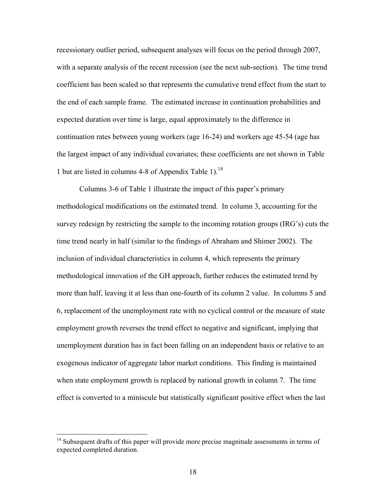recessionary outlier period, subsequent analyses will focus on the period through 2007, with a separate analysis of the recent recession (see the next sub-section). The time trend coefficient has been scaled so that represents the cumulative trend effect from the start to the end of each sample frame. The estimated increase in continuation probabilities and expected duration over time is large, equal approximately to the difference in continuation rates between young workers (age 16-24) and workers age 45-54 (age has the largest impact of any individual covariates; these coefficients are not shown in Table 1 but are listed in columns 4-8 of Appendix Table 1).<sup>14</sup>

 Columns 3-6 of Table 1 illustrate the impact of this paper's primary methodological modifications on the estimated trend. In column 3, accounting for the survey redesign by restricting the sample to the incoming rotation groups (IRG's) cuts the time trend nearly in half (similar to the findings of Abraham and Shimer 2002). The inclusion of individual characteristics in column 4, which represents the primary methodological innovation of the GH approach, further reduces the estimated trend by more than half, leaving it at less than one-fourth of its column 2 value. In columns 5 and 6, replacement of the unemployment rate with no cyclical control or the measure of state employment growth reverses the trend effect to negative and significant, implying that unemployment duration has in fact been falling on an independent basis or relative to an exogenous indicator of aggregate labor market conditions. This finding is maintained when state employment growth is replaced by national growth in column 7. The time effect is converted to a miniscule but statistically significant positive effect when the last

 $\overline{a}$ 

 $14$  Subsequent drafts of this paper will provide more precise magnitude assessments in terms of expected completed duration.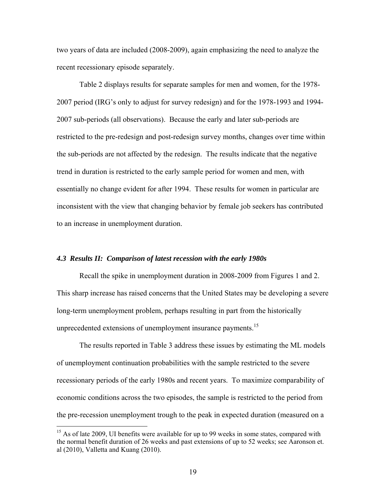two years of data are included (2008-2009), again emphasizing the need to analyze the recent recessionary episode separately.

 Table 2 displays results for separate samples for men and women, for the 1978- 2007 period (IRG's only to adjust for survey redesign) and for the 1978-1993 and 1994- 2007 sub-periods (all observations). Because the early and later sub-periods are restricted to the pre-redesign and post-redesign survey months, changes over time within the sub-periods are not affected by the redesign. The results indicate that the negative trend in duration is restricted to the early sample period for women and men, with essentially no change evident for after 1994. These results for women in particular are inconsistent with the view that changing behavior by female job seekers has contributed to an increase in unemployment duration.

#### *4.3 Results II: Comparison of latest recession with the early 1980s*

Recall the spike in unemployment duration in 2008-2009 from Figures 1 and 2. This sharp increase has raised concerns that the United States may be developing a severe long-term unemployment problem, perhaps resulting in part from the historically unprecedented extensions of unemployment insurance payments.<sup>15</sup>

The results reported in Table 3 address these issues by estimating the ML models of unemployment continuation probabilities with the sample restricted to the severe recessionary periods of the early 1980s and recent years. To maximize comparability of economic conditions across the two episodes, the sample is restricted to the period from the pre-recession unemployment trough to the peak in expected duration (measured on a

 $\overline{a}$ 

 $15$  As of late 2009, UI benefits were available for up to 99 weeks in some states, compared with the normal benefit duration of 26 weeks and past extensions of up to 52 weeks; see Aaronson et. al (2010), Valletta and Kuang (2010).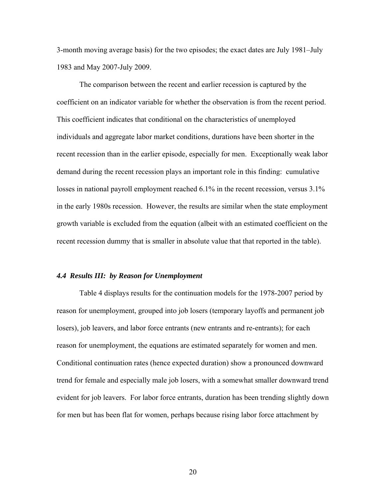3-month moving average basis) for the two episodes; the exact dates are July 1981–July 1983 and May 2007-July 2009.

The comparison between the recent and earlier recession is captured by the coefficient on an indicator variable for whether the observation is from the recent period. This coefficient indicates that conditional on the characteristics of unemployed individuals and aggregate labor market conditions, durations have been shorter in the recent recession than in the earlier episode, especially for men. Exceptionally weak labor demand during the recent recession plays an important role in this finding: cumulative losses in national payroll employment reached 6.1% in the recent recession, versus 3.1% in the early 1980s recession. However, the results are similar when the state employment growth variable is excluded from the equation (albeit with an estimated coefficient on the recent recession dummy that is smaller in absolute value that that reported in the table).

#### *4.4 Results III: by Reason for Unemployment*

 Table 4 displays results for the continuation models for the 1978-2007 period by reason for unemployment, grouped into job losers (temporary layoffs and permanent job losers), job leavers, and labor force entrants (new entrants and re-entrants); for each reason for unemployment, the equations are estimated separately for women and men. Conditional continuation rates (hence expected duration) show a pronounced downward trend for female and especially male job losers, with a somewhat smaller downward trend evident for job leavers. For labor force entrants, duration has been trending slightly down for men but has been flat for women, perhaps because rising labor force attachment by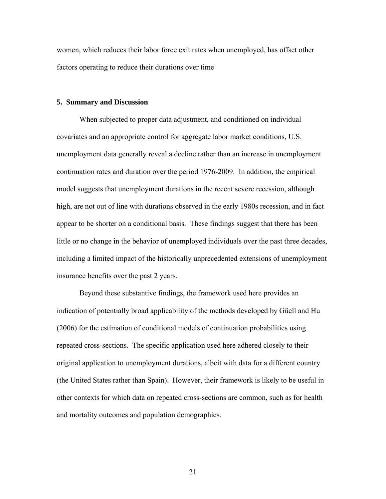women, which reduces their labor force exit rates when unemployed, has offset other factors operating to reduce their durations over time

#### **5. Summary and Discussion**

When subjected to proper data adjustment, and conditioned on individual covariates and an appropriate control for aggregate labor market conditions, U.S. unemployment data generally reveal a decline rather than an increase in unemployment continuation rates and duration over the period 1976-2009. In addition, the empirical model suggests that unemployment durations in the recent severe recession, although high, are not out of line with durations observed in the early 1980s recession, and in fact appear to be shorter on a conditional basis. These findings suggest that there has been little or no change in the behavior of unemployed individuals over the past three decades, including a limited impact of the historically unprecedented extensions of unemployment insurance benefits over the past 2 years.

Beyond these substantive findings, the framework used here provides an indication of potentially broad applicability of the methods developed by Güell and Hu (2006) for the estimation of conditional models of continuation probabilities using repeated cross-sections. The specific application used here adhered closely to their original application to unemployment durations, albeit with data for a different country (the United States rather than Spain). However, their framework is likely to be useful in other contexts for which data on repeated cross-sections are common, such as for health and mortality outcomes and population demographics.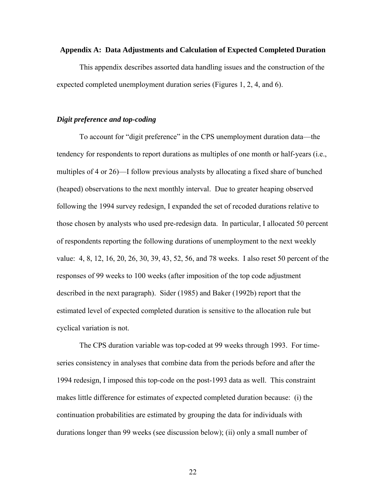#### **Appendix A: Data Adjustments and Calculation of Expected Completed Duration**

 This appendix describes assorted data handling issues and the construction of the expected completed unemployment duration series (Figures 1, 2, 4, and 6).

#### *Digit preference and top-coding*

 To account for "digit preference" in the CPS unemployment duration data—the tendency for respondents to report durations as multiples of one month or half-years (i.e., multiples of 4 or 26)—I follow previous analysts by allocating a fixed share of bunched (heaped) observations to the next monthly interval. Due to greater heaping observed following the 1994 survey redesign, I expanded the set of recoded durations relative to those chosen by analysts who used pre-redesign data. In particular, I allocated 50 percent of respondents reporting the following durations of unemployment to the next weekly value: 4, 8, 12, 16, 20, 26, 30, 39, 43, 52, 56, and 78 weeks. I also reset 50 percent of the responses of 99 weeks to 100 weeks (after imposition of the top code adjustment described in the next paragraph). Sider (1985) and Baker (1992b) report that the estimated level of expected completed duration is sensitive to the allocation rule but cyclical variation is not.

 The CPS duration variable was top-coded at 99 weeks through 1993. For timeseries consistency in analyses that combine data from the periods before and after the 1994 redesign, I imposed this top-code on the post-1993 data as well. This constraint makes little difference for estimates of expected completed duration because: (i) the continuation probabilities are estimated by grouping the data for individuals with durations longer than 99 weeks (see discussion below); (ii) only a small number of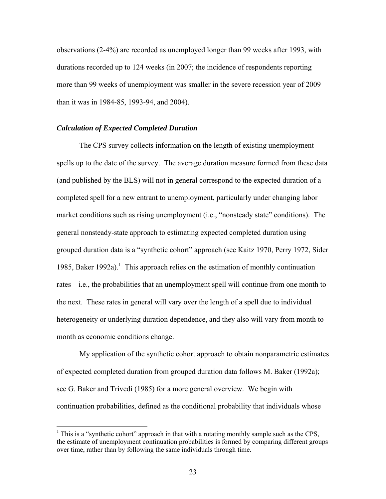observations (2-4%) are recorded as unemployed longer than 99 weeks after 1993, with durations recorded up to 124 weeks (in 2007; the incidence of respondents reporting more than 99 weeks of unemployment was smaller in the severe recession year of 2009 than it was in 1984-85, 1993-94, and 2004).

# *Calculation of Expected Completed Duration*

1

 The CPS survey collects information on the length of existing unemployment spells up to the date of the survey. The average duration measure formed from these data (and published by the BLS) will not in general correspond to the expected duration of a completed spell for a new entrant to unemployment, particularly under changing labor market conditions such as rising unemployment (i.e., "nonsteady state" conditions).The general nonsteady-state approach to estimating expected completed duration using grouped duration data is a "synthetic cohort" approach (see Kaitz 1970, Perry 1972, Sider 1985, Baker 1992a).<sup>1</sup> This approach relies on the estimation of monthly continuation rates—i.e., the probabilities that an unemployment spell will continue from one month to the next. These rates in general will vary over the length of a spell due to individual heterogeneity or underlying duration dependence, and they also will vary from month to month as economic conditions change.

 My application of the synthetic cohort approach to obtain nonparametric estimates of expected completed duration from grouped duration data follows M. Baker (1992a); see G. Baker and Trivedi (1985) for a more general overview. We begin with continuation probabilities, defined as the conditional probability that individuals whose

<sup>&</sup>lt;sup>1</sup> This is a "synthetic cohort" approach in that with a rotating monthly sample such as the CPS, the estimate of unemployment continuation probabilities is formed by comparing different groups over time, rather than by following the same individuals through time.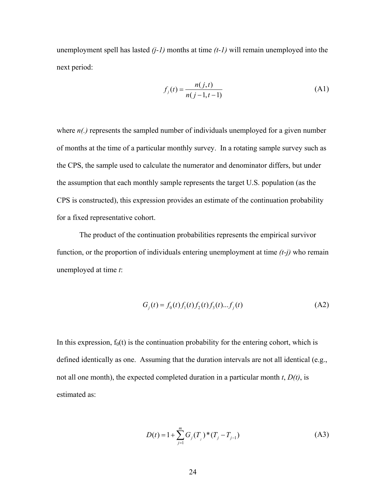unemployment spell has lasted *(j-1)* months at time *(t-1)* will remain unemployed into the next period:

$$
f_j(t) = \frac{n(j,t)}{n(j-1,t-1)}
$$
 (A1)

where  $n(.)$  represents the sampled number of individuals unemployed for a given number of months at the time of a particular monthly survey. In a rotating sample survey such as the CPS, the sample used to calculate the numerator and denominator differs, but under the assumption that each monthly sample represents the target U.S. population (as the CPS is constructed), this expression provides an estimate of the continuation probability for a fixed representative cohort.

 The product of the continuation probabilities represents the empirical survivor function, or the proportion of individuals entering unemployment at time *(t-j)* who remain unemployed at time *t*:

$$
G_j(t) = f_0(t) f_1(t) f_2(t) f_3(t) \dots f_j(t)
$$
 (A2)

In this expression,  $f_0(t)$  is the continuation probability for the entering cohort, which is defined identically as one. Assuming that the duration intervals are not all identical (e.g., not all one month), the expected completed duration in a particular month *t*, *D(t)*, is estimated as:

$$
D(t) = 1 + \sum_{j=1}^{m} G_j(T_j)^* (T_j - T_{j-1})
$$
\n(A3)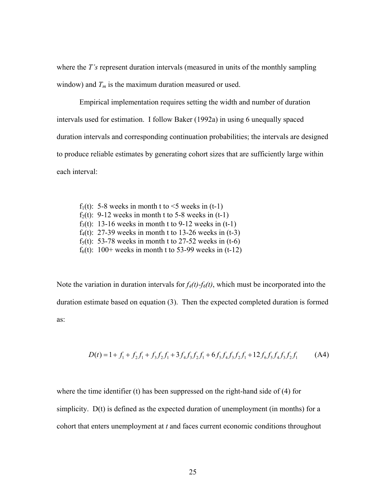where the *T*'s represent duration intervals (measured in units of the monthly sampling window) and  $T_m$  is the maximum duration measured or used.

 Empirical implementation requires setting the width and number of duration intervals used for estimation. I follow Baker (1992a) in using 6 unequally spaced duration intervals and corresponding continuation probabilities; the intervals are designed to produce reliable estimates by generating cohort sizes that are sufficiently large within each interval:

f<sub>1</sub>(t): 5-8 weeks in month t to  $\leq$  weeks in (t-1) f<sub>2</sub>(t): 9-12 weeks in month t to 5-8 weeks in  $(t-1)$ f<sub>3</sub>(t): 13-16 weeks in month t to 9-12 weeks in  $(t-1)$  $f_4(t)$ : 27-39 weeks in month t to 13-26 weeks in (t-3) f<sub>5</sub>(t): 53-78 weeks in month t to 27-52 weeks in  $(t-6)$  $f_6(t)$ : 100+ weeks in month t to 53-99 weeks in (t-12)

Note the variation in duration intervals for  $f_4(t)$ - $f_6(t)$ , which must be incorporated into the duration estimate based on equation (3). Then the expected completed duration is formed as:

$$
D(t) = 1 + f_1 + f_2 f_1 + f_3 f_2 f_1 + 3 f_4 f_3 f_2 f_1 + 6 f_5 f_4 f_3 f_2 f_1 + 12 f_6 f_5 f_4 f_3 f_2 f_1
$$
 (A4)

where the time identifier (t) has been suppressed on the right-hand side of (4) for simplicity. D(t) is defined as the expected duration of unemployment (in months) for a cohort that enters unemployment at *t* and faces current economic conditions throughout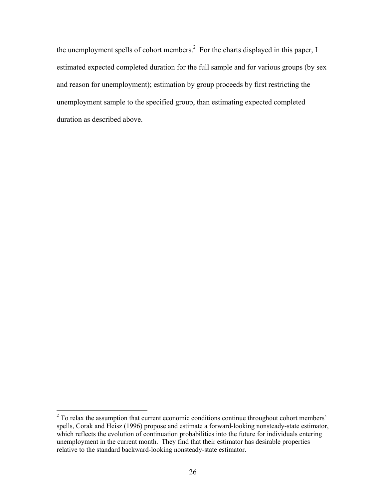the unemployment spells of cohort members. $<sup>2</sup>$  For the charts displayed in this paper, I</sup> estimated expected completed duration for the full sample and for various groups (by sex and reason for unemployment); estimation by group proceeds by first restricting the unemployment sample to the specified group, than estimating expected completed duration as described above.

<sup>&</sup>lt;sup>2</sup> To relax the assumption that current economic conditions continue throughout cohort members' spells, Corak and Heisz (1996) propose and estimate a forward-looking nonsteady-state estimator, which reflects the evolution of continuation probabilities into the future for individuals entering unemployment in the current month. They find that their estimator has desirable properties relative to the standard backward-looking nonsteady-state estimator.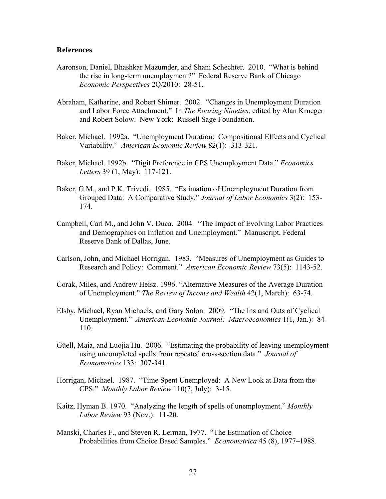#### **References**

- Aaronson, Daniel, Bhashkar Mazumder, and Shani Schechter. 2010. "What is behind the rise in long-term unemployment?" Federal Reserve Bank of Chicago *Economic Perspectives* 2Q/2010: 28-51.
- Abraham, Katharine, and Robert Shimer. 2002. "Changes in Unemployment Duration and Labor Force Attachment." In *The Roaring Nineties*, edited by Alan Krueger and Robert Solow. New York: Russell Sage Foundation.
- Baker, Michael. 1992a. "Unemployment Duration: Compositional Effects and Cyclical Variability." *American Economic Review* 82(1): 313-321.
- Baker, Michael. 1992b. "Digit Preference in CPS Unemployment Data." *Economics Letters* 39 (1, May): 117-121.
- Baker, G.M., and P.K. Trivedi. 1985. "Estimation of Unemployment Duration from Grouped Data: A Comparative Study." *Journal of Labor Economics* 3(2): 153- 174.
- Campbell, Carl M., and John V. Duca. 2004. "The Impact of Evolving Labor Practices and Demographics on Inflation and Unemployment." Manuscript, Federal Reserve Bank of Dallas, June.
- Carlson, John, and Michael Horrigan. 1983. "Measures of Unemployment as Guides to Research and Policy: Comment." *American Economic Review* 73(5): 1143-52.
- Corak, Miles, and Andrew Heisz. 1996. "Alternative Measures of the Average Duration of Unemployment." *The Review of Income and Wealth* 42(1, March): 63-74.
- Elsby, Michael, Ryan Michaels, and Gary Solon. 2009. "The Ins and Outs of Cyclical Unemployment." *American Economic Journal: Macroeconomics* 1(1, Jan.): 84- 110.
- Güell, Maia, and Luojia Hu. 2006. "Estimating the probability of leaving unemployment using uncompleted spells from repeated cross-section data." *Journal of Econometrics* 133: 307-341.
- Horrigan, Michael. 1987. "Time Spent Unemployed: A New Look at Data from the CPS." *Monthly Labor Review* 110(7, July): 3-15.
- Kaitz, Hyman B. 1970. "Analyzing the length of spells of unemployment." *Monthly Labor Review* 93 (Nov.): 11-20.
- Manski, Charles F., and Steven R. Lerman, 1977. "The Estimation of Choice Probabilities from Choice Based Samples." *Econometrica* 45 (8), 1977–1988.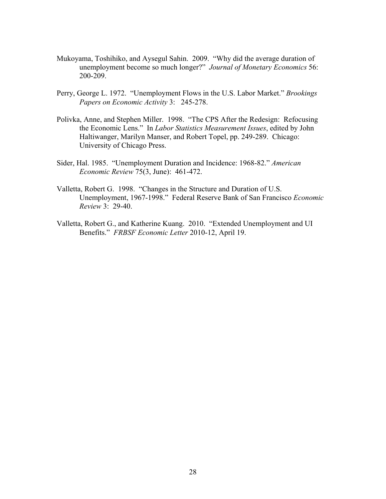- Mukoyama, Toshihiko, and Aysegul Sahin. 2009. "Why did the average duration of unemployment become so much longer?" *Journal of Monetary Economics* 56: 200-209.
- Perry, George L. 1972. "Unemployment Flows in the U.S. Labor Market." *Brookings Papers on Economic Activity* 3: 245-278.
- Polivka, Anne, and Stephen Miller. 1998. "The CPS After the Redesign: Refocusing the Economic Lens." In *Labor Statistics Measurement Issues*, edited by John Haltiwanger, Marilyn Manser, and Robert Topel, pp. 249-289. Chicago: University of Chicago Press.
- Sider, Hal. 1985. "Unemployment Duration and Incidence: 1968-82." *American Economic Review* 75(3, June): 461-472.
- Valletta, Robert G. 1998. "Changes in the Structure and Duration of U.S. Unemployment, 1967-1998." Federal Reserve Bank of San Francisco *Economic Review* 3: 29-40.
- Valletta, Robert G., and Katherine Kuang. 2010. "Extended Unemployment and UI Benefits." *FRBSF Economic Letter* 2010-12, April 19.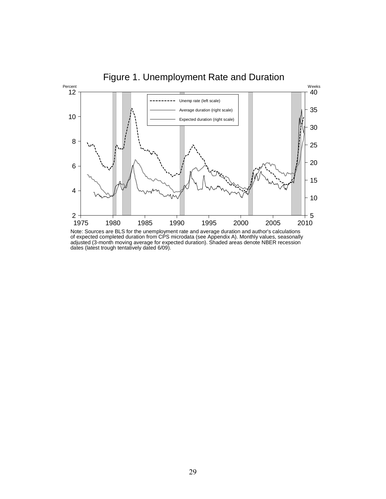

dates (latest trough tentatively dated 6/09).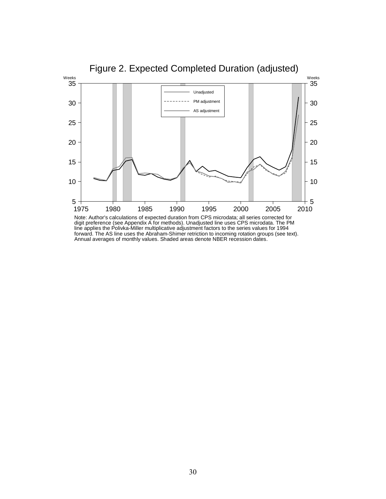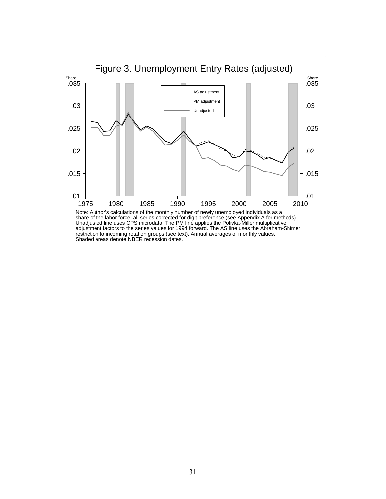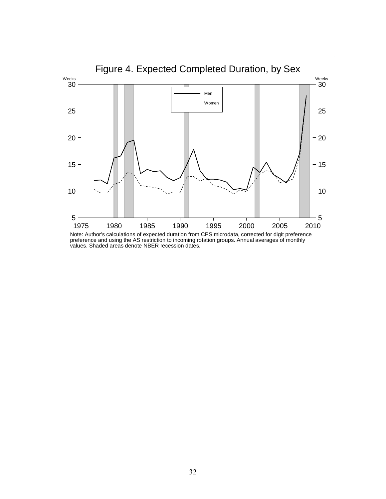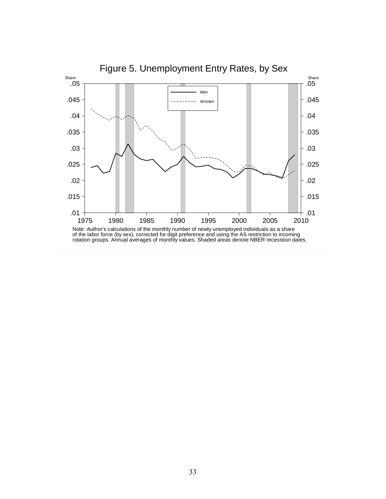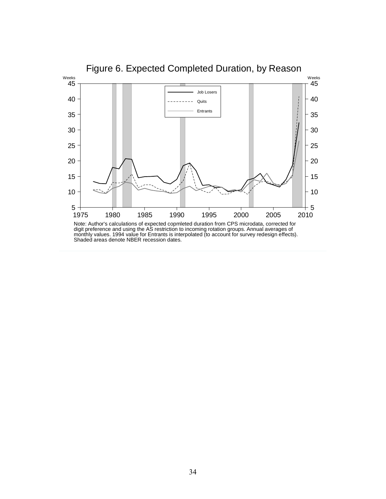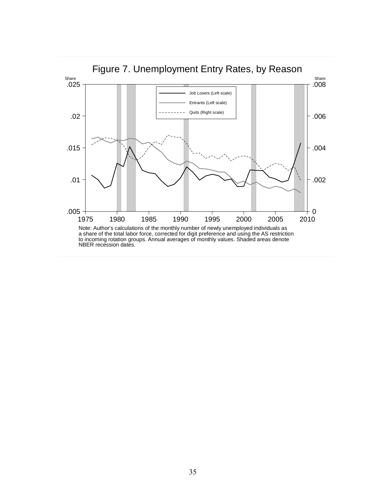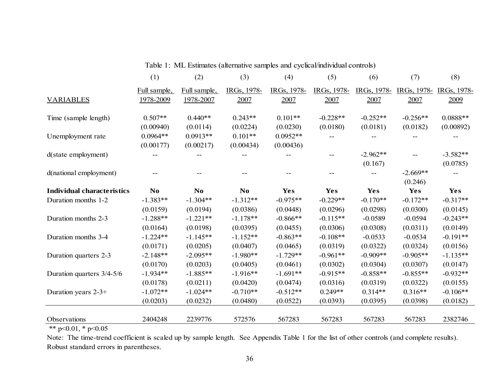|                                                | (1)            | (2)            | (3)         | (4)         | (5)         | (6)         | (7)         | (8)         |
|------------------------------------------------|----------------|----------------|-------------|-------------|-------------|-------------|-------------|-------------|
|                                                | Full sample,   | Full sample,   | IRGs, 1978- | IRGs, 1978- | IRGs, 1978- | IRGs, 1978- | IRGs, 1978- | IRGs, 1978- |
| <b>VARIABLES</b>                               | 1978-2009      | 1978-2007      | 2007        | 2007        | 2007        | 2007        | 2007        | 2009        |
| Time (sample length)                           | $0.507**$      | $0.440**$      | $0.243**$   | $0.101**$   | $-0.228**$  | $-0.252**$  | $-0.256**$  | $0.0888**$  |
|                                                | (0.00940)      | (0.0114)       | (0.0224)    | (0.0230)    | (0.0180)    | (0.0181)    | (0.0182)    | (0.00892)   |
| Unemployment rate                              | $0.0964**$     | $0.0913**$     | $0.101**$   | $0.0952**$  |             |             |             |             |
|                                                | (0.00177)      | (0.00217)      | (0.00434)   | (0.00436)   |             |             |             |             |
| d(state employment)                            |                |                |             |             |             | $-2.962**$  |             | $-3.582**$  |
|                                                |                |                |             |             |             | (0.167)     |             | (0.0785)    |
| d(national employment)                         |                |                |             |             |             |             | $-2.669**$  |             |
|                                                |                |                |             |             |             |             | (0.246)     |             |
| <b>Individual characteristics</b>              | N <sub>0</sub> | N <sub>o</sub> | No.         | <b>Yes</b>  | Yes         | Yes         | Yes         | Yes         |
| Duration months 1-2                            | $-1.383**$     | $-1.304**$     | $-1.312**$  | $-0.975**$  | $-0.229**$  | $-0.170**$  | $-0.172**$  | $-0.317**$  |
|                                                | (0.0159)       | (0.0194)       | (0.0386)    | (0.0448)    | (0.0296)    | (0.0298)    | (0.0300)    | (0.0145)    |
| Duration months 2-3                            | $-1.288**$     | $-1.221**$     | $-1.178**$  | $-0.866**$  | $-0.115**$  | $-0.0589$   | $-0.0594$   | $-0.243**$  |
|                                                | (0.0164)       | (0.0198)       | (0.0395)    | (0.0455)    | (0.0306)    | (0.0308)    | (0.0311)    | (0.0149)    |
| Duration months 3-4                            | $-1.224**$     | $-1.145**$     | $-1.152**$  | $-0.863**$  | $-0.108**$  | $-0.0533$   | $-0.0534$   | $-0.191**$  |
|                                                | (0.0171)       | (0.0205)       | (0.0407)    | (0.0465)    | (0.0319)    | (0.0322)    | (0.0324)    | (0.0156)    |
| Duration quarters 2-3                          | $-2.148**$     | $-2.095**$     | $-1.980**$  | $-1.729**$  | $-0.961**$  | $-0.909**$  | $-0.905**$  | $-1.135**$  |
|                                                | (0.0170)       | (0.0203)       | (0.0405)    | (0.0461)    | (0.0302)    | (0.0304)    | (0.0307)    | (0.0147)    |
| Duration quarters 3/4-5/6                      | $-1.934**$     | $-1.885**$     | $-1.916**$  | $-1.691**$  | $-0.915**$  | $-0.858**$  | $-0.855**$  | $-0.932**$  |
|                                                | (0.0178)       | (0.0211)       | (0.0420)    | (0.0474)    | (0.0316)    | (0.0319)    | (0.0322)    | (0.0155)    |
| Duration years $2-3+$                          | $-1.072**$     | $-1.024**$     | $-0.710**$  | $-0.512**$  | $0.249**$   | $0.314**$   | $0.316**$   | $-0.106**$  |
|                                                | (0.0203)       | (0.0232)       | (0.0480)    | (0.0522)    | (0.0393)    | (0.0395)    | (0.0398)    | (0.0182)    |
|                                                |                |                |             |             |             |             |             |             |
| Observations<br>$\sim$ $\sim$ $\sim$<br>0.01 h | 2404248        | 2239776        | 572576      | 567283      | 567283      | 567283      | 567283      | 2382746     |

Table 1: ML Estimates (alternative samples and cyclical/individual controls)

\*\* p<0.01, \* p<0.05

Note: The time-trend coefficient is scaled up by sample length. See Appendix Table 1 for the list of other controls (and complete results). Robust standard errors in parentheses.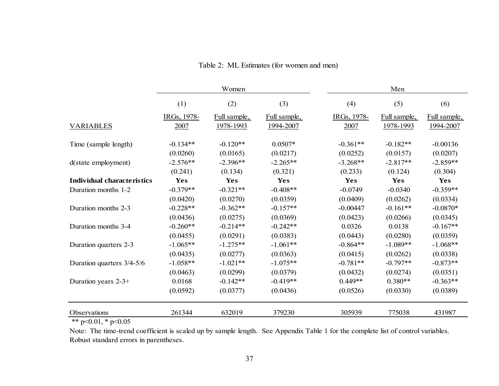| Men          |  |  |  |  |
|--------------|--|--|--|--|
| (6)          |  |  |  |  |
| Full sample, |  |  |  |  |
| 1994-2007    |  |  |  |  |
| $-0.00136$   |  |  |  |  |
| (0.0207)     |  |  |  |  |
| $-2.859**$   |  |  |  |  |
| (0.304)      |  |  |  |  |
| Yes          |  |  |  |  |
| $-0.359**$   |  |  |  |  |
| (0.0334)     |  |  |  |  |
| $-0.0870*$   |  |  |  |  |
| (0.0345)     |  |  |  |  |
| $-0.167**$   |  |  |  |  |
| (0.0359)     |  |  |  |  |
| $-1.068**$   |  |  |  |  |
| (0.0338)     |  |  |  |  |
| $-0.873**$   |  |  |  |  |
| (0.0351)     |  |  |  |  |
| $-0.363**$   |  |  |  |  |
| (0.0389)     |  |  |  |  |
| 431987       |  |  |  |  |
|              |  |  |  |  |

# Table 2: ML Estimates (for women and men)

\*\* p<0.01, \* p<0.05

Note: The time-trend coefficient is scaled up by sample length. See Appendix Table 1 for the complete list of control variables. Robust standard errors in parentheses.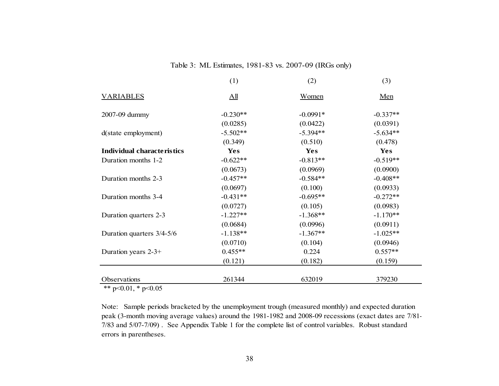### Table 3: ML Estimates, 1981-83 vs. 2007-09 (IRGs only)

|                                   | (1)               | (2)        | (3)        |
|-----------------------------------|-------------------|------------|------------|
| <b>VARIABLES</b>                  | $\underline{All}$ | Women      | Men        |
| 2007-09 dummy                     | $-0.230**$        | $-0.0991*$ | $-0.337**$ |
|                                   | (0.0285)          | (0.0422)   | (0.0391)   |
| d(state employment)               | $-5.502**$        | $-5.394**$ | $-5.634**$ |
|                                   | (0.349)           | (0.510)    | (0.478)    |
| <b>Individual characteristics</b> | <b>Yes</b>        | Yes        | Yes        |
| Duration months 1-2               | $-0.622**$        | $-0.813**$ | $-0.519**$ |
|                                   | (0.0673)          | (0.0969)   | (0.0900)   |
| Duration months 2-3               | $-0.457**$        | $-0.584**$ | $-0.408**$ |
|                                   | (0.0697)          | (0.100)    | (0.0933)   |
| Duration months 3-4               | $-0.431**$        | $-0.695**$ | $-0.272**$ |
|                                   | (0.0727)          | (0.105)    | (0.0983)   |
| Duration quarters 2-3             | $-1.227**$        | $-1.368**$ | $-1.170**$ |
|                                   | (0.0684)          | (0.0996)   | (0.0911)   |
| Duration quarters 3/4-5/6         | $-1.138**$        | $-1.367**$ | $-1.025**$ |
|                                   | (0.0710)          | (0.104)    | (0.0946)   |
| Duration years 2-3+               | $0.455**$         | 0.224      | $0.557**$  |
|                                   | (0.121)           | (0.182)    | (0.159)    |
| Observations                      | 261344            | 632019     | 379230     |
|                                   |                   |            |            |

\*\* p<0.01, \* p<0.05

Note: Sample periods bracketed by the unemployment trough (measured monthly) and expected duration peak (3-month moving average values) around the 1981-1982 and 2008-09 recessions (exact dates are 7/81- 7/83 and 5/07-7/09) . See Appendix Table 1 for the complete list of control variables. Robust standard errors in parentheses.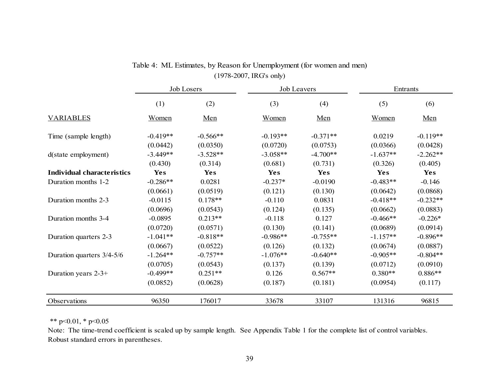|                                   | <b>Job Losers</b> |            | Job Leavers |            | Entrants   |            |  |
|-----------------------------------|-------------------|------------|-------------|------------|------------|------------|--|
|                                   | (1)               | (2)        | (3)         | (4)        | (5)        | (6)        |  |
| <b>VARIABLES</b>                  | Women             | Men        | Women       | Men        | Women      | Men        |  |
| Time (sample length)              | $-0.419**$        | $-0.566**$ | $-0.193**$  | $-0.371**$ | 0.0219     | $-0.119**$ |  |
|                                   | (0.0442)          | (0.0350)   | (0.0720)    | (0.0753)   | (0.0366)   | (0.0428)   |  |
| d(state employment)               | $-3.449**$        | $-3.528**$ | $-3.058**$  | $-4.700**$ | $-1.637**$ | $-2.262**$ |  |
|                                   | (0.430)           | (0.314)    | (0.681)     | (0.731)    | (0.326)    | (0.405)    |  |
| <b>Individual characteristics</b> | <b>Yes</b>        | Yes        | Yes         | <b>Yes</b> | <b>Yes</b> | <b>Yes</b> |  |
| Duration months 1-2               | $-0.286**$        | 0.0281     | $-0.237*$   | $-0.0190$  | $-0.483**$ | $-0.146$   |  |
|                                   | (0.0661)          | (0.0519)   | (0.121)     | (0.130)    | (0.0642)   | (0.0868)   |  |
| Duration months 2-3               | $-0.0115$         | $0.178**$  | $-0.110$    | 0.0831     | $-0.418**$ | $-0.232**$ |  |
|                                   | (0.0696)          | (0.0543)   | (0.124)     | (0.135)    | (0.0662)   | (0.0883)   |  |
| Duration months 3-4               | $-0.0895$         | $0.213**$  | $-0.118$    | 0.127      | $-0.466**$ | $-0.226*$  |  |
|                                   | (0.0720)          | (0.0571)   | (0.130)     | (0.141)    | (0.0689)   | (0.0914)   |  |
| Duration quarters 2-3             | $-1.041**$        | $-0.818**$ | $-0.986**$  | $-0.755**$ | $-1.157**$ | $-0.896**$ |  |
|                                   | (0.0667)          | (0.0522)   | (0.126)     | (0.132)    | (0.0674)   | (0.0887)   |  |
| Duration quarters 3/4-5/6         | $-1.264**$        | $-0.757**$ | $-1.076**$  | $-0.640**$ | $-0.905**$ | $-0.804**$ |  |
|                                   | (0.0705)          | (0.0543)   | (0.137)     | (0.139)    | (0.0712)   | (0.0910)   |  |
| Duration years $2-3+$             | $-0.499**$        | $0.251**$  | 0.126       | $0.567**$  | $0.380**$  | $0.886**$  |  |
|                                   | (0.0852)          | (0.0628)   | (0.187)     | (0.181)    | (0.0954)   | (0.117)    |  |
| Observations                      | 96350             | 176017     | 33678       | 33107      | 131316     | 96815      |  |

# Table 4: ML Estimates, by Reason for Unemployment (for women and men) (1978-2007, IRG's only)

\*\* p<0.01, \* p<0.05

Note: The time-trend coefficient is scaled up by sample length. See Appendix Table 1 for the complete list of control variables. Robust standard errors in parentheses.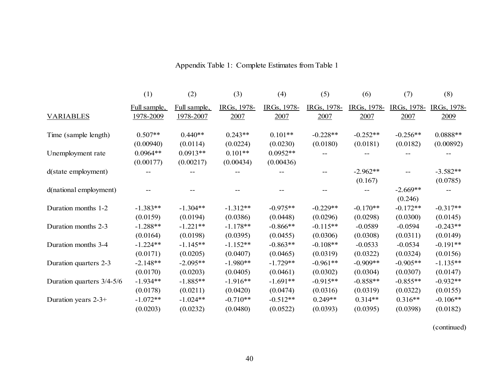|                           | (1)          | (2)          | (3)         | (4)         | (5)         | (6)         | (7)         | (8)         |
|---------------------------|--------------|--------------|-------------|-------------|-------------|-------------|-------------|-------------|
|                           | Full sample, | Full sample, | IRGs, 1978- | IRGs, 1978- | IRGs, 1978- | IRGs, 1978- | IRGs, 1978- | IRGs, 1978- |
| <b>VARIABLES</b>          | 1978-2009    | 1978-2007    | 2007        | 2007        | 2007        | 2007        | 2007        | 2009        |
| Time (sample length)      | $0.507**$    | $0.440**$    | $0.243**$   | $0.101**$   | $-0.228**$  | $-0.252**$  | $-0.256**$  | $0.0888**$  |
|                           | (0.00940)    | (0.0114)     | (0.0224)    | (0.0230)    | (0.0180)    | (0.0181)    | (0.0182)    | (0.00892)   |
| Unemployment rate         | $0.0964**$   | $0.0913**$   | $0.101**$   | $0.0952**$  |             |             |             |             |
|                           | (0.00177)    | (0.00217)    | (0.00434)   | (0.00436)   |             |             |             |             |
| d(state employment)       |              |              |             |             |             | $-2.962**$  |             | $-3.582**$  |
|                           |              |              |             |             |             | (0.167)     |             | (0.0785)    |
| d(national employment)    |              |              |             |             |             |             | $-2.669**$  |             |
|                           |              |              |             |             |             |             | (0.246)     |             |
| Duration months 1-2       | $-1.383**$   | $-1.304**$   | $-1.312**$  | $-0.975**$  | $-0.229**$  | $-0.170**$  | $-0.172**$  | $-0.317**$  |
|                           | (0.0159)     | (0.0194)     | (0.0386)    | (0.0448)    | (0.0296)    | (0.0298)    | (0.0300)    | (0.0145)    |
| Duration months 2-3       | $-1.288**$   | $-1.221**$   | $-1.178**$  | $-0.866**$  | $-0.115**$  | $-0.0589$   | $-0.0594$   | $-0.243**$  |
|                           | (0.0164)     | (0.0198)     | (0.0395)    | (0.0455)    | (0.0306)    | (0.0308)    | (0.0311)    | (0.0149)    |
| Duration months 3-4       | $-1.224**$   | $-1.145**$   | $-1.152**$  | $-0.863**$  | $-0.108**$  | $-0.0533$   | $-0.0534$   | $-0.191**$  |
|                           | (0.0171)     | (0.0205)     | (0.0407)    | (0.0465)    | (0.0319)    | (0.0322)    | (0.0324)    | (0.0156)    |
| Duration quarters 2-3     | $-2.148**$   | $-2.095**$   | $-1.980**$  | $-1.729**$  | $-0.961**$  | $-0.909**$  | $-0.905**$  | $-1.135**$  |
|                           | (0.0170)     | (0.0203)     | (0.0405)    | (0.0461)    | (0.0302)    | (0.0304)    | (0.0307)    | (0.0147)    |
| Duration quarters 3/4-5/6 | $-1.934**$   | $-1.885**$   | $-1.916**$  | $-1.691**$  | $-0.915**$  | $-0.858**$  | $-0.855**$  | $-0.932**$  |
|                           | (0.0178)     | (0.0211)     | (0.0420)    | (0.0474)    | (0.0316)    | (0.0319)    | (0.0322)    | (0.0155)    |
| Duration years $2-3+$     | $-1.072**$   | $-1.024**$   | $-0.710**$  | $-0.512**$  | $0.249**$   | $0.314**$   | $0.316**$   | $-0.106**$  |
|                           | (0.0203)     | (0.0232)     | (0.0480)    | (0.0522)    | (0.0393)    | (0.0395)    | (0.0398)    | (0.0182)    |

# Appendix Table 1: Complete Estimates from Table 1

(continued)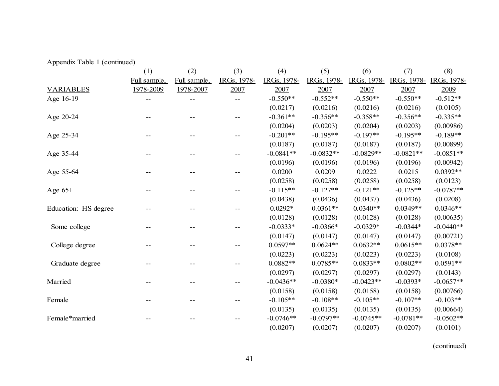|  |  |  | Appendix Table 1 (continued) |  |
|--|--|--|------------------------------|--|
|--|--|--|------------------------------|--|

|                      | (1)          | (2)          | (3)         | (4)         | (5)         | (6)         | (7)         | (8)         |
|----------------------|--------------|--------------|-------------|-------------|-------------|-------------|-------------|-------------|
|                      | Full sample, | Full sample, | IRGs, 1978- | IRGs, 1978- | IRGs, 1978- | IRGs, 1978- | IRGs, 1978- | IRGs, 1978- |
| <b>VARIABLES</b>     | 1978-2009    | 1978-2007    | 2007        | 2007        | 2007        | 2007        | 2007        | 2009        |
| Age 16-19            |              |              |             | $-0.550**$  | $-0.552**$  | $-0.550**$  | $-0.550**$  | $-0.512**$  |
|                      |              |              |             | (0.0217)    | (0.0216)    | (0.0216)    | (0.0216)    | (0.0105)    |
| Age 20-24            |              |              |             | $-0.361**$  | $-0.356**$  | $-0.358**$  | $-0.356**$  | $-0.335**$  |
|                      |              |              |             | (0.0204)    | (0.0203)    | (0.0204)    | (0.0203)    | (0.00986)   |
| Age 25-34            |              |              |             | $-0.201**$  | $-0.195**$  | $-0.197**$  | $-0.195**$  | $-0.189**$  |
|                      |              |              |             | (0.0187)    | (0.0187)    | (0.0187)    | (0.0187)    | (0.00899)   |
| Age 35-44            |              |              |             | $-0.0841**$ | $-0.0832**$ | $-0.0829**$ | $-0.0821**$ | $-0.0851**$ |
|                      |              |              |             | (0.0196)    | (0.0196)    | (0.0196)    | (0.0196)    | (0.00942)   |
| Age 55-64            |              |              |             | 0.0200      | 0.0209      | 0.0222      | 0.0215      | $0.0392**$  |
|                      |              |              |             | (0.0258)    | (0.0258)    | (0.0258)    | (0.0258)    | (0.0123)    |
| Age $65+$            |              |              |             | $-0.115**$  | $-0.127**$  | $-0.121**$  | $-0.125**$  | $-0.0787**$ |
|                      |              |              |             | (0.0438)    | (0.0436)    | (0.0437)    | (0.0436)    | (0.0208)    |
| Education: HS degree |              |              |             | $0.0292*$   | $0.0361**$  | $0.0340**$  | $0.0349**$  | $0.0346**$  |
|                      |              |              |             | (0.0128)    | (0.0128)    | (0.0128)    | (0.0128)    | (0.00635)   |
| Some college         |              |              |             | $-0.0333*$  | $-0.0366*$  | $-0.0329*$  | $-0.0344*$  | $-0.0440**$ |
|                      |              |              |             | (0.0147)    | (0.0147)    | (0.0147)    | (0.0147)    | (0.00721)   |
| College degree       |              |              |             | $0.0597**$  | $0.0624**$  | $0.0632**$  | $0.0615**$  | $0.0378**$  |
|                      |              |              |             | (0.0223)    | (0.0223)    | (0.0223)    | (0.0223)    | (0.0108)    |
| Graduate degree      |              |              |             | $0.0882**$  | $0.0785**$  | $0.0833**$  | $0.0802**$  | $0.0591**$  |
|                      |              |              |             | (0.0297)    | (0.0297)    | (0.0297)    | (0.0297)    | (0.0143)    |
| Married              |              |              |             | $-0.0436**$ | $-0.0380*$  | $-0.0423**$ | $-0.0393*$  | $-0.0657**$ |
|                      |              |              |             | (0.0158)    | (0.0158)    | (0.0158)    | (0.0158)    | (0.00766)   |
| Female               |              |              |             | $-0.105**$  | $-0.108**$  | $-0.105**$  | $-0.107**$  | $-0.103**$  |
|                      |              |              |             | (0.0135)    | (0.0135)    | (0.0135)    | (0.0135)    | (0.00664)   |
| Female*married       |              |              |             | $-0.0746**$ | $-0.0797**$ | $-0.0745**$ | $-0.0781**$ | $-0.0502**$ |
|                      |              |              |             | (0.0207)    | (0.0207)    | (0.0207)    | (0.0207)    | (0.0101)    |

(continued)